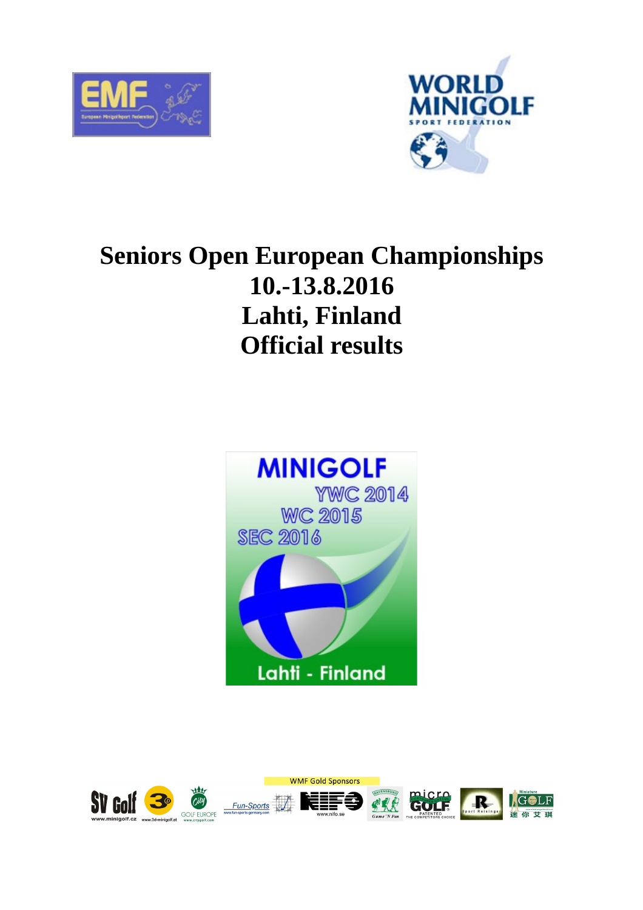



# **Seniors Open European Championships 10.-13.8.2016 Lahti, Finland Official results**



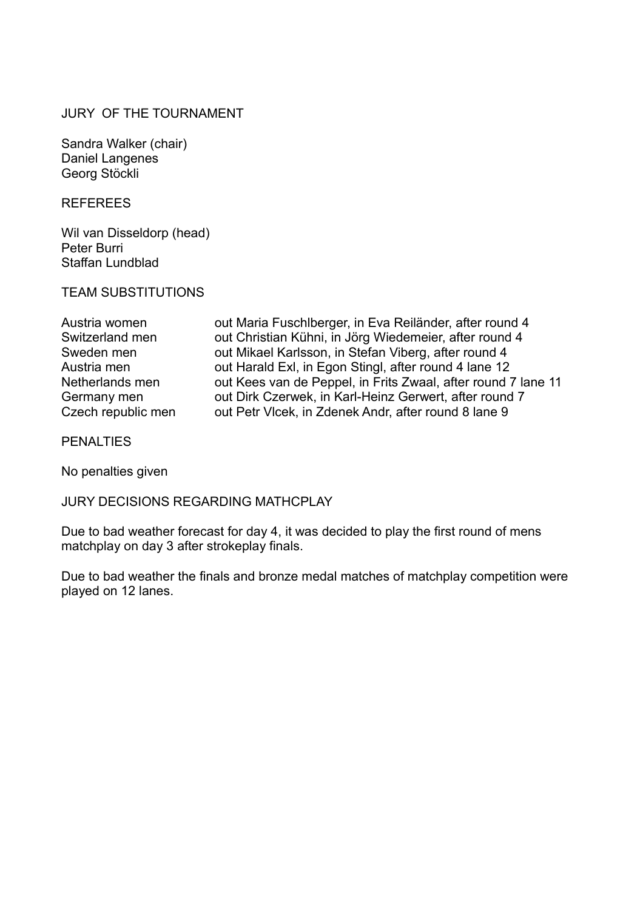#### JURY OF THE TOURNAMENT

Sandra Walker (chair) Daniel Langenes Georg Stöckli

REFEREES

Wil van Disseldorp (head) Peter Burri Staffan Lundblad

#### TEAM SUBSTITUTIONS

| Austria women      |
|--------------------|
| Switzerland men    |
| Sweden men         |
| Austria men        |
| Netherlands men    |
| Germany men        |
| Czech republic men |

out Maria Fuschlberger, in Eva Reiländer, after round 4 out Christian Kühni, in Jörg Wiedemeier, after round 4 out Mikael Karlsson, in Stefan Viberg, after round 4 out Harald Exl, in Egon Stingl, after round 4 lane 12 out Kees van de Peppel, in Frits Zwaal, after round 7 lane 11 out Dirk Czerwek, in Karl-Heinz Gerwert, after round 7 out Petr Vlcek, in Zdenek Andr, after round 8 lane 9

**PENALTIES** 

No penalties given

JURY DECISIONS REGARDING MATHCPLAY

Due to bad weather forecast for day 4, it was decided to play the first round of mens matchplay on day 3 after strokeplay finals.

Due to bad weather the finals and bronze medal matches of matchplay competition were played on 12 lanes.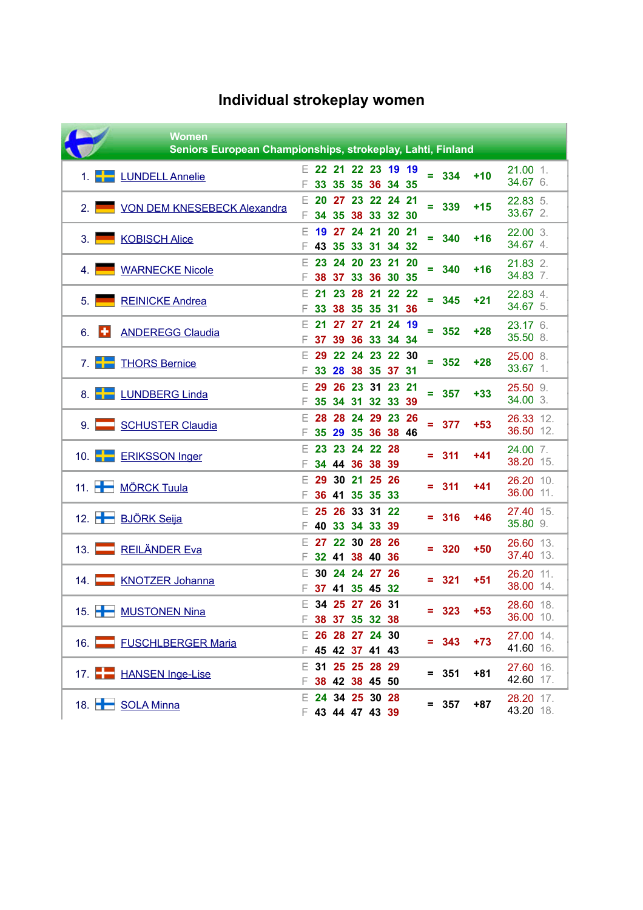|                   | <b>Women</b><br>Seniors European Championships, strokeplay, Lahti, Finland |          |                                        |                      |                      |                                          |           |    |         |       |                        |
|-------------------|----------------------------------------------------------------------------|----------|----------------------------------------|----------------------|----------------------|------------------------------------------|-----------|----|---------|-------|------------------------|
|                   | <b>LUNDELL Annelie</b>                                                     |          |                                        |                      |                      | □ 22 21 22 23 19 19<br>33 35 35 36 34 35 |           |    | $= 334$ | $+10$ | $21.00$ 1.<br>34.67 6. |
| 2.1               | VON DEM KNESEBECK Alexandra                                                | F.<br>F. | 20                                     | 34 35                |                      | 27 23 22 24 21<br>38 33 32 30            |           | ÷  | 339     | $+15$ | 22.83 5.<br>33.67 2.   |
| 3.1               | <b>KOBISCH Alice</b>                                                       | F.       | 43                                     | 19 27<br>35          | 24 21 20             | 33 31 34                                 | -21<br>32 | ÷  | 340     | $+16$ | 22.00 3.<br>34.67 4.   |
| 4.                | <b>WARNECKE Nicole</b>                                                     | F        |                                        |                      |                      | 23 24 20 23 21 20<br>38 37 33 36 30 35   |           | Ξ. | 340     | $+16$ | 21.83 2.<br>34.83 7.   |
| 5.1               | <b>REINICKE Andrea</b>                                                     |          | 21<br>33                               | 23                   |                      | 28 21 22 22<br>38 35 35 31 36            |           | Ξ. | 345     | $+21$ | 22.83 4.<br>34.67 5.   |
| ю<br>6.           | <b>ANDEREGG Claudia</b>                                                    | F.<br>F. | 21                                     | 27                   |                      | 27 21 24 19<br>37 39 36 33 34 34         |           |    | $= 352$ | $+28$ | 23.17 6.<br>35.50 8.   |
| 7 <sub>1</sub>    | <b>THORS Bernice</b>                                                       | E.       | 29<br>33                               |                      |                      | 22 24 23 22 30<br>28 38 35 37 31         |           | Ξ  | 352     | $+28$ | 25.00 8.<br>33.67 1.   |
| 8. $\blacksquare$ | <b>LUNDBERG Linda</b>                                                      | F        | 29<br>35                               | 26<br>34             |                      | 23 31 23 21<br>31 32 33                  | 39        | Ξ  | 357     | $+33$ | 25.50 9.<br>34.00 3.   |
| $9. \Box$         | <b>SCHUSTER Claudia</b>                                                    |          | 28<br>35                               |                      |                      | 28 24 29 23 26<br>29 35 36 38 46         |           | Ξ  | 377     | $+53$ | 26.33 12.<br>36.50 12. |
|                   | 10. <b>ERIKSSON</b> Inger                                                  |          | 23                                     | 23<br>34 44          | 24 22 28<br>36 38 39 |                                          |           | Ξ  | 311     | $+41$ | 24.00 7.<br>38.20 15.  |
|                   | 11. <b>HIMÖRCK Tuula</b>                                                   | E.       | 29                                     | 30<br>36 41 35 35 33 | 21 25 26             |                                          |           |    | $= 311$ | $+41$ | 26.20 10.<br>36.00 11. |
|                   | 12. BJÖRK Seija                                                            | E.       | 25<br>40                               | 26<br>33             | 33 31 22<br>34 33 39 |                                          |           | Ξ. | 316     | $+46$ | 27.40 15.<br>35.80 9.  |
| 13. $\Gamma$      | <b>REILÄNDER Eva</b>                                                       | F.       | $E$ 27                                 | 22<br>32 41 38 40 36 | 30 28 26             |                                          |           |    | $= 320$ | $+50$ | 26.60 13.<br>37.40 13. |
| 14.               | <b>KNOTZER Johanna</b>                                                     |          | F 37 41 35 45 32                       | 30 24 24 27 26       |                      |                                          |           | =  | 321     | $+51$ | 26.20 11.<br>38.00 14. |
|                   | 15. MUSTONEN Nina                                                          |          | □ 34 25 27 26 31<br>F 38 37 35 32 38   |                      |                      |                                          |           |    | $= 323$ | $+53$ | 28.60 18.<br>36.00 10. |
|                   | 16. FUSCHLBERGER Maria                                                     |          | □ 26 28 27 24 30<br>F 45 42 37 41 43   |                      |                      |                                          |           |    | $= 343$ | $+73$ | 27.00 14.<br>41.60 16. |
|                   | 17. <b>HANSEN Inge-Lise</b>                                                |          | □ 31 25 25 28 29<br>F 38 42 38 45 50   |                      |                      |                                          |           |    | $= 351$ | $+81$ | 27.60 16.<br>42.60 17. |
|                   | 18. SOLA Minna                                                             |          | $E$ 24 34 25 30 28<br>₣ 43 44 47 43 39 |                      |                      |                                          |           |    | $= 357$ | $+87$ | 28.20 17.<br>43.20 18. |

## **Individual strokeplay women**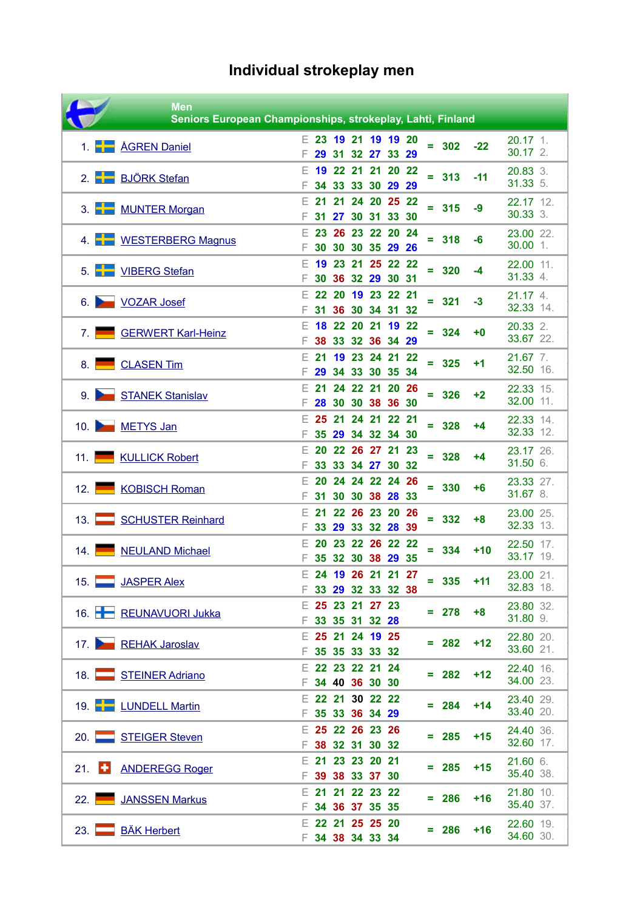# **Individual strokeplay men**

|                      | <b>Men</b><br>Seniors European Championships, strokeplay, Lahti, Finland |    |                                        |          |  |                                                 |   |         |       |                                     |
|----------------------|--------------------------------------------------------------------------|----|----------------------------------------|----------|--|-------------------------------------------------|---|---------|-------|-------------------------------------|
| 1. $\leftarrow$      | <b>ÅGREN Daniel</b>                                                      |    | 29.                                    | 31       |  | □ 23 19 21 19 19 20<br>32 27 33 29              |   | $= 302$ | $-22$ | $20.17$ 1.<br>$30.17$ 2.            |
|                      | 2. BJÖRK Stefan                                                          | Е  | 19                                     |          |  | 22 21 21 20 22<br>34 33 33 30 29 29             |   | $= 313$ | $-11$ | $20.83$ 3.<br>31.33 5.              |
|                      | 3. MUNTER Morgan                                                         | E  | 21<br>31                               | 21<br>27 |  | 24 20 25 22<br>30 31 33 30                      |   | $= 315$ | -9    | 22.17 12.<br>30.33 3.               |
|                      | 4. WESTERBERG Magnus                                                     | F  | 23<br>30                               | 26<br>30 |  | 23 22 20 24<br>30 35 29 26                      |   | $= 318$ | -6    | 23.00 22.<br>$30.00$ 1.             |
|                      | 5. VIBERG Stefan                                                         | E  |                                        |          |  | 19 23 21 25 22 22<br>30 36 32 29 30 31          |   | $= 320$ | -4    | 22.00 11.<br>31.33 4.               |
|                      | 6. VOZAR Josef                                                           | E  |                                        | 22 20    |  | 19 23 22 21<br>31 36 30 34 31 32                |   | $= 321$ | $-3$  | 21.17 4.<br>32.33 14.               |
| 7.1                  | GERWERT Karl-Heinz                                                       | Е  | 18                                     |          |  | 22 20 21 19 22<br>38 33 32 36 34 29             |   | $= 324$ | +0    | 20.33 2.<br>33.67 22.               |
| 8.1                  | CLASEN Tim                                                               | F. | 21<br>29                               |          |  | 19 23 24 21 22<br>34 33 30 35 34                | ÷ | 325     | +1    | 21.67 7.<br>32.50 16.               |
|                      | 9. STANEK Stanislav                                                      | F  | 21<br>28                               |          |  | 24 22 21 20 26<br>30 30 38 36 30                |   | $= 326$ | $+2$  | 22.33 15.<br>32.00 11.              |
|                      | 10. METYS Jan                                                            | F  | 25                                     | 21       |  | 24 21 22 21<br>35 29 34 32 34 30                |   | $= 328$ | +4    | 22.33 14.<br>32.33 12.              |
|                      | 11. KULLICK Robert                                                       | E  | 20<br>33                               | 33       |  | 22 26 27 21 23<br>34 27 30 32                   |   | $= 328$ | +4    | 23.17 26.<br>31.50 6.               |
| 12.                  | <b>KOBISCH Roman</b>                                                     | Е  | 20<br>31                               | 30       |  | 24 24 22 24 26<br>30 38 28 33<br>22 26 23 20 26 |   | $= 330$ | +6    | 23.33 27.<br>31.67 8.               |
| 13.1                 | <b>SCHUSTER Reinhard</b>                                                 | E  | 21<br>33<br>20                         | 29       |  | 33 32 28 39<br>23 22 26 22 22                   |   | $= 332$ | $+8$  | 23.00 25.<br>32.33 13.              |
| 14.                  | <b>NEULAND Michael</b>                                                   | F. |                                        |          |  | 35 32 30 38 29 35                               |   | $= 334$ | $+10$ | 22.50 17.<br>33.17 19.              |
|                      | 15. JASPER Alex                                                          |    | $E$ 25 23 21 27 23                     |          |  | □ 24 19 26 21 21 27<br>F 33 29 32 33 32 38      |   | $= 335$ | $+11$ | 23.00 21.<br>32.83 18.<br>23.80 32. |
|                      | 16. REUNAVUORI Jukka                                                     |    | F 33 35 31 32 28<br>□ 25 21 24 19 25   |          |  |                                                 |   | $= 278$ | $+8$  | 31.80 9.<br>22.80 20.               |
|                      | 17. REHAK Jaroslav                                                       |    | 35 35 33 33 32<br>□ 22 23 22 21 24     |          |  |                                                 |   | $= 282$ | $+12$ | 33.60 21.<br>22.40 16.              |
|                      | 18. STEINER Adriano                                                      |    | F 34 40 36 30 30<br>□ 22 21 30 22 22   |          |  |                                                 |   | $= 282$ | $+12$ | 34.00 23.<br>23.40 29.              |
|                      | 19. <b>LUNDELL Martin</b>                                                |    | F 35 33 36 34 29<br>$E$ 25 22 26 23 26 |          |  |                                                 |   | $= 284$ | $+14$ | 33.40 20.<br>24.40 36.              |
|                      | 20. STEIGER Steven                                                       |    | F 38 32 31 30 32<br>$E$ 21 23 23 20 21 |          |  |                                                 |   | $= 285$ | $+15$ | 32.60 17.<br>21.60 6.               |
| $21.$ $\blacksquare$ | <b>ANDEREGG Roger</b>                                                    |    | ₣ 39 38 33 37 30<br>□ 21 21 22 23 22   |          |  |                                                 |   | $= 285$ | $+15$ | 35.40 38.<br>21.80 10.              |
| 22.1                 | JANSSEN Markus                                                           |    | 34 36 37 35 35<br>□ 22 21 25 25 20     |          |  |                                                 |   | $= 286$ | $+16$ | 35.40 37.<br>22.60 19.              |
| 23.                  | <b>BÄK Herbert</b>                                                       |    | F 34 38 34 33 34                       |          |  |                                                 |   | $= 286$ | $+16$ | 34.60 30.                           |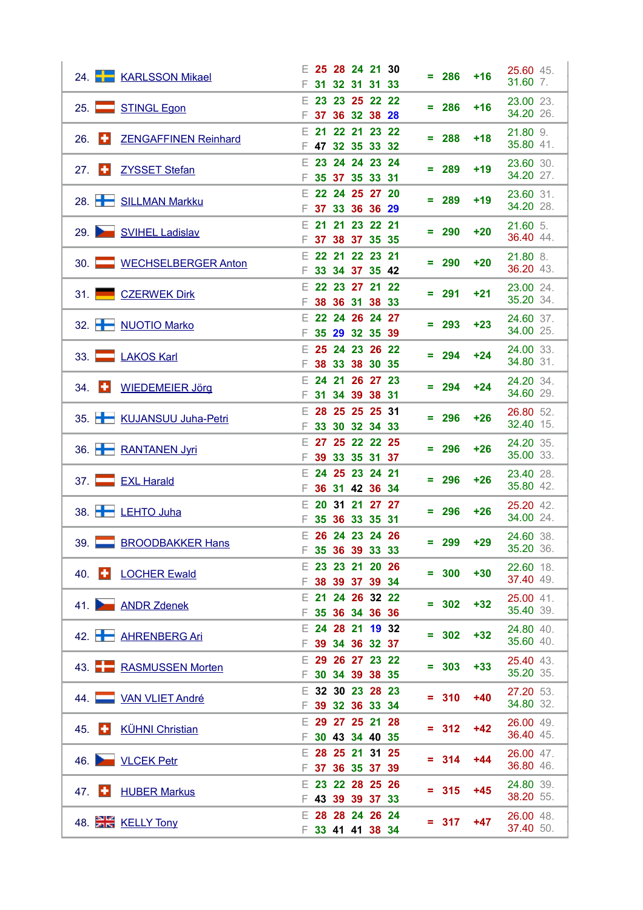| 24. KARLSSON Mikael                         |                     | □ 25 28 24 21 30                       | 286<br>$+16$       | 25.60 45.               |
|---------------------------------------------|---------------------|----------------------------------------|--------------------|-------------------------|
|                                             | F.                  | 31 32 31 31 33                         |                    | 31.60 7.                |
| 25. STINGL Egon                             | E.                  | 23 23 25 22 22<br>F 37 36 32 38 28     | $= 286$<br>$+16$   | 23.00 23.<br>34.20 26.  |
| $26.$ $\Box$<br><b>ZENGAFFINEN Reinhard</b> | 21<br>Е.            | 22 21 23 22<br>F 47 32 35 33 32        | $= 288$<br>$+18$   | 21.80 9.<br>35.80 41.   |
| 27 $\Box$<br><b>ZYSSET Stefan</b>           |                     | □ 23 24 24 23 24<br>F 35 37 35 33 31   | $= 289$<br>$+19$   | 23.60 30.<br>34.20 27.  |
| 28. SILLMAN Markku                          | E.<br>F.            | 22 24 25 27 20<br>37 33 36 36 29       | 289<br>$+19$<br>Ξ  | 23.60 31.<br>34.20 28.  |
| 29. SVIHEL Ladislav                         | E.<br>21            | 21 23 22 21<br>F 37 38 37 35 35        | 290<br>$+20$<br>÷  | $21.60$ 5.<br>36.40 44. |
| 30. WECHSELBERGER Anton                     |                     | $E$ 22 21 22 23 21                     | $+20$<br>$= 290$   | 21.80 8.<br>36.20 43.   |
| 31. CZERWEK Dirk                            | F.<br>$22 \,$<br>E. | 33 34 37 35 42<br>23 27 21 22          | $= 291$<br>$+21$   | 23.00 24.               |
| 32. NUOTIO Marko                            | F.                  | 38 36 31 38 33<br>$E$ 22 24 26 24 27   | $= 293$<br>$+23$   | 35.20 34.<br>24.60 37.  |
|                                             | F.                  | 35 29 32 35 39<br>$E$ 25 24 23 26 22   |                    | 34.00 25.<br>24.00 33.  |
| 33. LAKOS Karl                              | F.<br>E.            | 38 33 38 30 35<br>24 21 26 27 23       | 294<br>$+24$<br>Ξ  | 34.80 31.<br>24.20 34.  |
| $34.$ $\Box$<br><b>WIEDEMEIER Jörg</b>      |                     | F 31 34 39 38 31                       | $= 294$<br>$+24$   | 34.60 29.               |
| 35. KUJANSUU Juha-Petri                     | E.<br>F.            | 28 25 25 25 31<br>33 30 32 34 33       | 296<br>$+26$<br>÷  | 26.80 52.<br>32.40 15.  |
| 36. RANTANEN Jyri                           | E.<br>F.<br>39      | 27 25 22 22 25<br>33 35 31 37          | $= 296$<br>$+26$   | 24.20 35.<br>35.00 33.  |
| 37. EXL Harald                              | F.                  | $E$ 24 25 23 24 21<br>36 31 42 36 34   | $+26$<br>296<br>Ξ. | 23.40 28.<br>35.80 42.  |
| 38. LEHTO Juha                              | Е.<br>F.            | 20 31 21 27 27<br>35 36 33 35 31       | 296<br>$+26$<br>Ξ. | 25.20 42.<br>34.00 24.  |
| 39. BROODBAKKER Hans                        |                     | □ 26 24 23 24 26<br>F 35 36 39 33 33   | 299 +29            | 24.60 38.<br>35.20 36.  |
| 40. • LOCHER Ewald                          | F.                  | □ 23 23 21 20 26<br>38 39 37 39 34     | $= 300$<br>$+30$   | 22.60 18.<br>37.40 49.  |
| 41. ANDR Zdenek                             |                     | □ 21 24 26 32 22                       | $= 302$<br>$+32$   | 25.00 41.<br>35.40 39.  |
| 42. AHRENBERG Ari                           | F.                  | 35 36 34 36 36<br>$E$ 24 28 21 19 32   | $= 302$<br>$+32$   | 24.80 40.               |
| 43. <b>BEE RASMUSSEN Morten</b>             |                     | ₣ 39 34 36 32 37<br>□ 29 26 27 23 22   | $= 303$<br>$+33$   | 35.60 40.<br>25.40 43.  |
|                                             |                     | ₣ 30 34 39 38 35<br>$E$ 32 30 23 28 23 |                    | 35.20 35.<br>27.20 53.  |
| 44. VAN VLIET André                         | E.                  | F 39 32 36 33 34<br>29 27 25 21 28     | $= 310$<br>+40     | 34.80 32.<br>26.00 49.  |
| $45.$ $\Box$<br><b>KÜHNI Christian</b>      | F.                  | 30 43 34 40 35<br>□ 28 25 21 31 25     | $= 312$<br>$+42$   | 36.40 45.               |
| 46. VLCEK Petr                              |                     | F 37 36 35 37 39                       | $= 314$<br>$+44$   | 26.00 47.<br>36.80 46.  |
| $47.$ $\Box$<br><b>HUBER Markus</b>         |                     | $E$ 23 22 28 25 26<br>F 43 39 39 37 33 | $= 315$<br>$+45$   | 24.80 39.<br>38.20 55.  |
| 48. KELLY Tony                              |                     | □ 28 28 24 26 24<br>F 33 41 41 38 34   | $= 317$<br>$+47$   | 26.00 48.<br>37.40 50.  |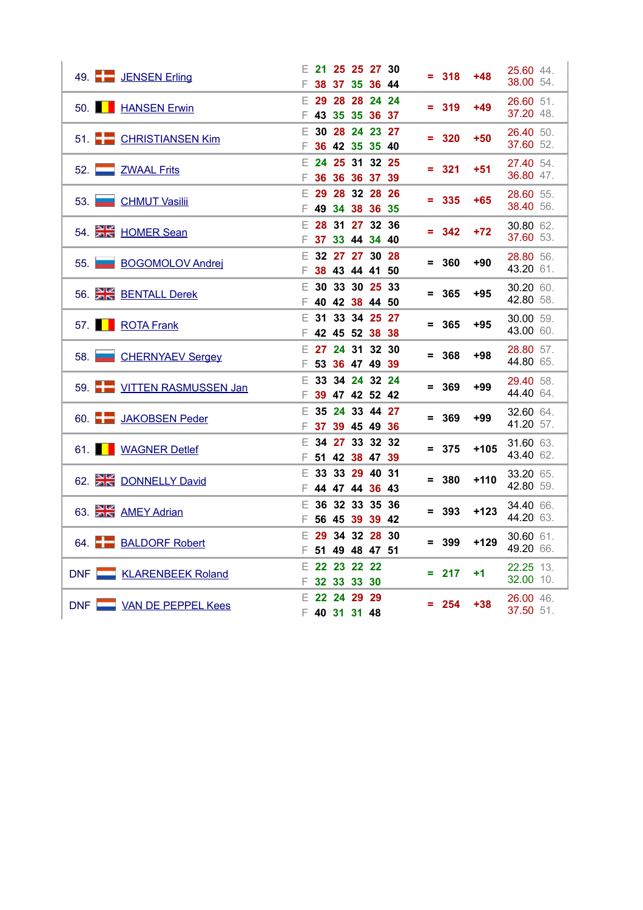| 49. JENSEN Erling        |          | $E$ 21 25 25 27 30<br>38 37 35 36 44   |                                  |  |                | $= 318$ | $+48$  | 25.60 44.<br>38.00 54. |  |
|--------------------------|----------|----------------------------------------|----------------------------------|--|----------------|---------|--------|------------------------|--|
| 50. <b>HANSEN Erwin</b>  |          | □ 29 28 28 24 24<br>F 43 35 35 36 37   |                                  |  |                | $= 319$ | $+49$  | 26.60 51.<br>37.20 48. |  |
| 51. CHRISTIANSEN Kim     |          | □ 30 28 24 23 27<br>F 36 42 35 35 40   |                                  |  |                | $= 320$ | $+50$  | 26.40 50.<br>37.60 52. |  |
| 52. ZWAAL Frits          |          | $E$ 24 25 31 32 25<br>F 36 36 36 37 39 |                                  |  |                | $= 321$ | $+51$  | 27.40 54.<br>36.80 47. |  |
| 53. CHMUT Vasilii        |          | □ 29 28 32 28 26<br>₣ 49 34 38 36 35   |                                  |  |                | $= 335$ | $+65$  | 28.60 55.<br>38.40 56. |  |
| 54. HOMER Sean           |          | □ 28 31 27 32 36<br>F 37 33 44 34 40   |                                  |  |                | $= 342$ | $+72$  | 30.80 62.<br>37.60 53. |  |
| 55. BOGOMOLOV Andrej     |          | □ 32 27 27 30 28<br>F 38 43 44 41 50   |                                  |  |                | $= 360$ | $+90$  | 28.80 56.<br>43.20 61. |  |
| 56. BENTALL Derek        | E.<br>F. |                                        | 30 33 30 25 33<br>40 42 38 44 50 |  |                | $= 365$ | $+95$  | 30.20 60.<br>42.80 58. |  |
| 57. ROTA Frank           |          | $E$ 31 33 34 25 27<br>F 42 45 52 38 38 |                                  |  |                | $= 365$ | $+95$  | 30.00 59.<br>43.00 60. |  |
| 58. CHERNYAEV Sergey     |          | □ 27 24 31 32 30<br>F 53 36 47 49 39   |                                  |  |                | $= 368$ | $+98$  | 28.80 57.<br>44.80 65. |  |
| 59. VITTEN RASMUSSEN Jan | E.       | F 39 47 42 52 42                       |                                  |  | 33 34 24 32 24 | $= 369$ | $+99$  | 29.40 58.<br>44.40 64. |  |
| 60. JAKOBSEN Peder       | E.       | F 37 39 45 49 36                       | 35 24 33 44 27                   |  |                | $= 369$ | $+99$  | 32.60 64.<br>41.20 57. |  |
| 61. WAGNER Detlef        | F        | □ 34 27 33 32 32<br>51 42 38 47 39     |                                  |  |                | $= 375$ | $+105$ | 31.60 63.<br>43.40 62. |  |
| 62. DONNELLY David       |          | $E$ 33 33 29 40 31<br>₣ 44 47 44 36 43 |                                  |  |                | $= 380$ | $+110$ | 33.20 65.<br>42.80 59. |  |
| 63. AMEY Adrian          | F.       | $E$ 36 32 33 35 36                     | 56 45 39 39 42                   |  |                | $= 393$ | $+123$ | 34.40 66.<br>44.20 63. |  |
| 64. BALDORF Robert       |          | $E$ 29 34 32 28 30<br>F 51 49 48 47 51 |                                  |  |                | $= 399$ | $+129$ | 30.60 61.<br>49.20 66. |  |
| DNF KLARENBEEK Roland    |          | € 22 23 22 22<br>F 32 33 33 30         |                                  |  |                | $= 217$ | $+1$   | 22.25 13.<br>32.00 10. |  |
| DNF WAN DE PEPPEL Kees   |          | □ 22 24 29 29<br>₣ 40 31 31 48         |                                  |  |                | $= 254$ | $+38$  | 26.00 46.<br>37.50 51. |  |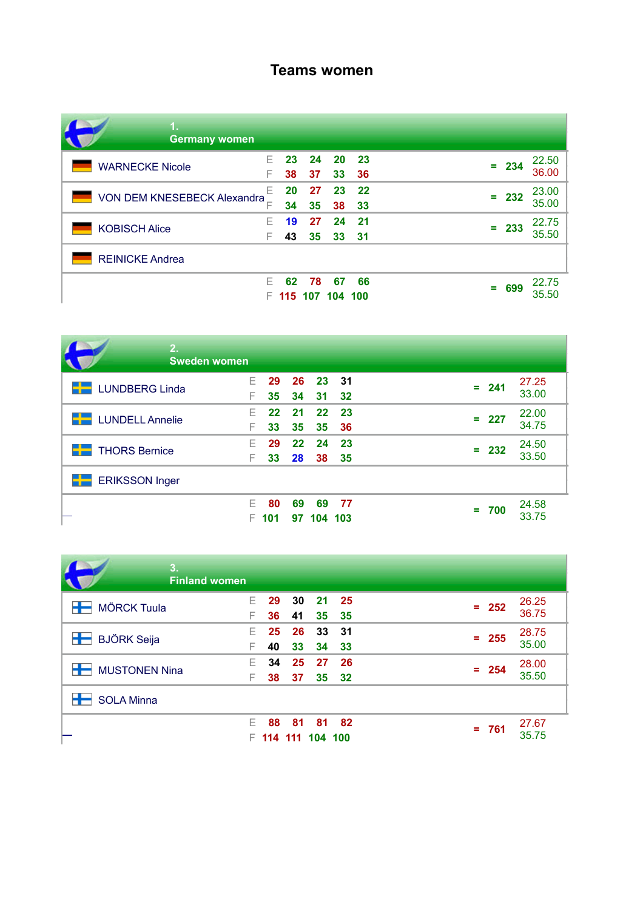### **Teams women**

| <b>Germany women</b>        |    |    |         |         |      |          |                |
|-----------------------------|----|----|---------|---------|------|----------|----------------|
| <b>WARNECKE Nicole</b>      | F. | 23 | 24      | - 20    | 23   | 234<br>= | 22.50<br>36.00 |
|                             | F  | 38 | 37      | 33      | 36   |          |                |
| VON DEM KNESEBECK Alexandra | F  | 20 | 27      | 23      | - 22 | 232<br>۰ | 23.00          |
|                             |    | 34 | 35      | 38      | 33   |          | 35.00          |
| <b>KOBISCH Alice</b>        | F. | 19 | 27      | 24      | 21   | 233<br>= | 22.75          |
|                             |    | 43 | 35      | 33      | 31   |          | 35.50          |
| <b>REINICKE Andrea</b>      |    |    |         |         |      |          |                |
|                             | F. | 62 | 78      | 67      | 66   | 699      | 22.75          |
|                             |    |    | 115 107 | 104 100 |      |          | 35.50          |

| 2.<br><b>Sweden women</b> |         |               |           |               |            |         |                |
|---------------------------|---------|---------------|-----------|---------------|------------|---------|----------------|
| <b>LUNDBERG Linda</b>     | F       | 29<br>35      | -26<br>34 | 23<br>31      | - 31<br>32 | $= 241$ | 27.25<br>33.00 |
| <b>LUNDELL Annelie</b>    | F       | $22 \,$<br>33 | 21<br>35  | 22<br>35      | 23<br>36   | $= 227$ | 22.00<br>34.75 |
| <b>THORS Bernice</b>      | F.<br>F | 29<br>33      | 22<br>28  | 24<br>38      | 23<br>35   | $= 232$ | 24.50<br>33.50 |
| <b>ERIKSSON Inger</b>     |         |               |           |               |            |         |                |
|                           | F.      | 80<br>101     | 69<br>97  | 69<br>104 103 | - 77       | $= 700$ | 24.58<br>33.75 |

| 3.<br><b>Finland women</b> |                                                                   |                           |
|----------------------------|-------------------------------------------------------------------|---------------------------|
| <b>MÖRCK Tuula</b>         | 29<br><b>30</b><br>21<br>- 25<br>F.<br>F<br>35<br>36<br>-35<br>41 | 26.25<br>$= 252$<br>36.75 |
| æ<br><b>BJÖRK Seija</b>    | 25<br>26<br>33<br>31<br>F.<br>F<br>40<br>33<br>34<br>33           | 28.75<br>$= 255$<br>35.00 |
| <b>MUSTONEN Nina</b>       | 34<br>25<br>27<br>26<br>F<br>F<br>35<br>32<br>38<br>37            | 28.00<br>$= 254$<br>35.50 |
| <b>SOLA Minna</b>          |                                                                   |                           |
|                            | F<br>88<br>81<br>81<br>82<br>114 111 104 100                      | 27.67<br>$= 761$<br>35.75 |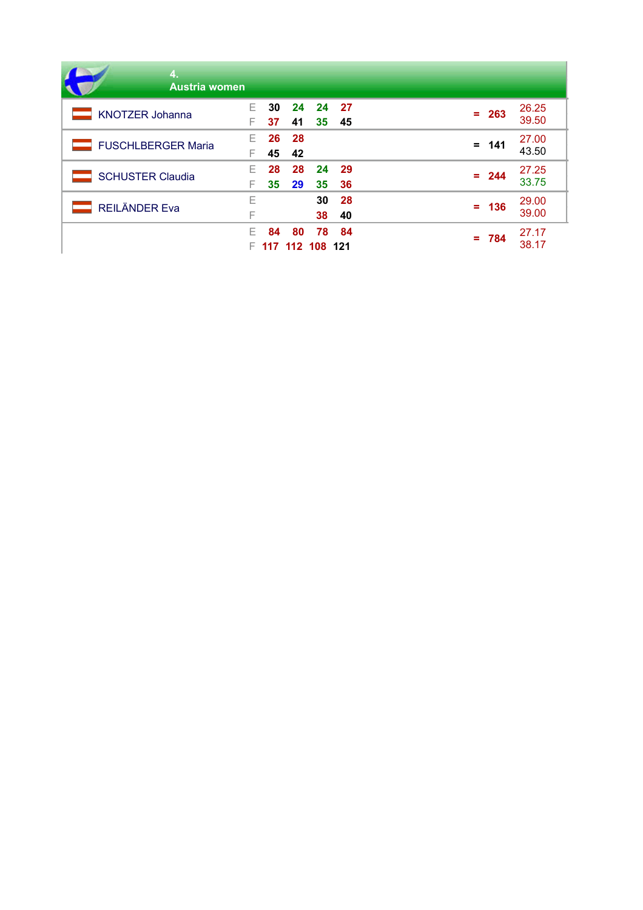| 4.<br><b>Austria women</b> |        |          |          |                       |            |         |                |
|----------------------------|--------|----------|----------|-----------------------|------------|---------|----------------|
| <b>KNOTZER Johanna</b>     |        | 30<br>37 | 24<br>41 | -24<br>35             | - 27<br>45 | $= 263$ | 26.25<br>39.50 |
| <b>FUSCHLBERGER Maria</b>  | F.     | 26<br>45 | 28<br>42 |                       |            | $= 141$ | 27.00<br>43.50 |
| <b>SCHUSTER Claudia</b>    | F.     | 28<br>35 | 28<br>29 | 24<br>35              | 29<br>36   | $= 244$ | 27.25<br>33.75 |
| <b>REILÄNDER Eva</b>       | Е<br>F |          |          | 30<br>38              | 28<br>40   | $= 136$ | 29.00<br>39.00 |
|                            | F      | 84       | 80       | 78<br>117 112 108 121 | 84         | $= 784$ | 27.17<br>38.17 |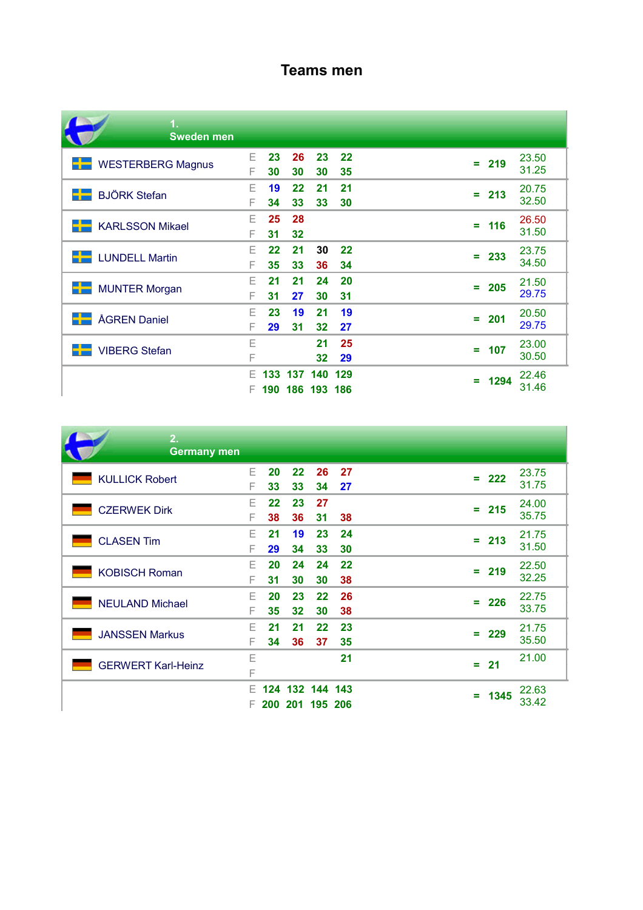### **Teams men**

| 1.<br><b>Sweden men</b>  |        |          |          |                    |          |           |                |
|--------------------------|--------|----------|----------|--------------------|----------|-----------|----------------|
| <b>WESTERBERG Magnus</b> | Е<br>F | 23<br>30 | 26<br>30 | 23<br>30           | 22<br>35 | $= 219$   | 23.50<br>31.25 |
| <b>BJÖRK Stefan</b>      | Ε<br>F | 19<br>34 | 22<br>33 | 21<br>33           | 21<br>30 | 213<br>÷  | 20.75<br>32.50 |
| <b>KARLSSON Mikael</b>   | Ε<br>F | 25<br>31 | 28<br>32 |                    |          | 116<br>÷  | 26.50<br>31.50 |
| <b>LUNDELL Martin</b>    | E<br>F | 22<br>35 | 21<br>33 | 30<br>36           | 22<br>34 | 233<br>Ξ  | 23.75<br>34.50 |
| <b>MUNTER Morgan</b>     | F<br>F | 21<br>31 | 21<br>27 | 24<br>30           | 20<br>31 | 205<br>÷  | 21.50<br>29.75 |
| <b>ÅGREN Daniel</b>      | Ε<br>F | 23<br>29 | 19<br>31 | 21<br>32           | 19<br>27 | 201<br>÷  | 20.50<br>29.75 |
| <b>VIBERG Stefan</b>     | Е<br>F |          |          | 21<br>32           | 25<br>29 | $= 107$   | 23.00<br>30.50 |
|                          | F<br>F | 190      | 133 137  | 140<br>186 193 186 | 129      | 1294<br>Ξ | 22.46<br>31.46 |

| 2.<br><b>Germany men</b>  |         |                         |                                    |          |          |    |         |                |
|---------------------------|---------|-------------------------|------------------------------------|----------|----------|----|---------|----------------|
| <b>KULLICK Robert</b>     | E<br>F  | 20<br>33                | 22<br>33                           | 26<br>34 | 27<br>27 |    | $= 222$ | 23.75<br>31.75 |
| <b>CZERWEK Dirk</b>       | F<br>F  | $22 \overline{)}$<br>38 | 23<br>36                           | 27<br>31 | 38       |    | $= 215$ | 24.00<br>35.75 |
| <b>CLASEN Tim</b>         | F<br>F  | 21<br>29                | 19<br>34                           | 23<br>33 | 24<br>30 |    | $= 213$ | 21.75<br>31.50 |
| <b>KOBISCH Roman</b>      | F<br>F  | 20<br>31                | 24<br>30                           | 24<br>30 | 22<br>38 |    | $= 219$ | 22.50<br>32.25 |
| <b>NEULAND Michael</b>    | F<br>F  | 20<br>35                | 23<br>32                           | 22<br>30 | 26<br>38 |    | $= 226$ | 22.75<br>33.75 |
| <b>JANSSEN Markus</b>     | F<br>F  | 21<br>34                | 21<br>36                           | 22<br>37 | 23<br>35 | Ξ. | 229     | 21.75<br>35.50 |
| <b>GERWERT Karl-Heinz</b> | Ε<br>F  |                         |                                    |          | 21       | ÷  | 21      | 21.00          |
|                           | F<br>F. |                         | 124 132 144 143<br>200 201 195 206 |          |          | Ξ. | 1345    | 22.63<br>33.42 |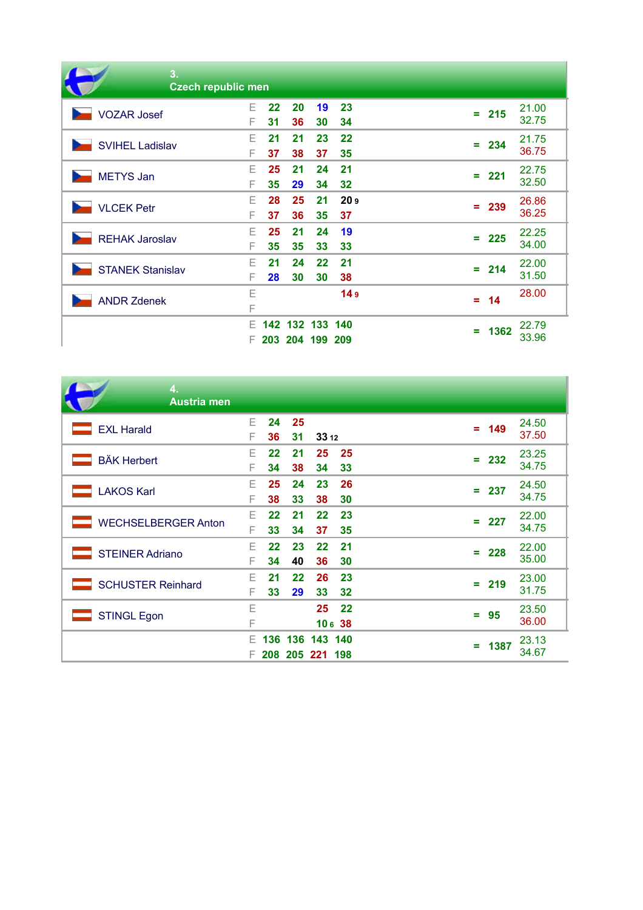| 3.<br><b>Czech republic men</b> |         |                         |                    |          |                       |    |         |                |
|---------------------------------|---------|-------------------------|--------------------|----------|-----------------------|----|---------|----------------|
| <b>VOZAR Josef</b>              | F<br>F  | $22 \overline{ }$<br>31 | 20<br>36           | 19<br>30 | 23<br>34              |    | $= 215$ | 21.00<br>32.75 |
| <b>SVIHEL Ladislav</b>          | F<br>F  | 21<br>37                | 21<br>38           | 23<br>37 | 22<br>35              |    | $= 234$ | 21.75<br>36.75 |
| <b>METYS Jan</b>                | F<br>F  | 25<br>35                | 21<br>29           | 24<br>34 | 21<br>32              |    | $= 221$ | 22.75<br>32.50 |
| <b>VLCEK Petr</b>               | F<br>F  | 28<br>37                | 25<br>36           | 21<br>35 | 20 <sub>9</sub><br>37 |    | $= 239$ | 26.86<br>36.25 |
| <b>REHAK Jaroslav</b>           | F<br>F  | 25<br>35                | 21<br>35           | 24<br>33 | 19<br>33              | Ξ. | 225     | 22.25<br>34.00 |
| <b>STANEK Stanislav</b>         | F<br>F  | 21<br>28                | 24<br>30           | 22<br>30 | 21<br>38              |    | $= 214$ | 22.00<br>31.50 |
| <b>ANDR Zdenek</b>              | Ε<br>F  |                         |                    |          | 14 <sub>9</sub>       |    | $= 14$  | 28.00          |
|                                 | F<br>F. | 142 <sub>2</sub>        | 132<br>203 204 199 | 133      | 140<br>209            | ÷  | 1362    | 22.79<br>33.96 |

| 4.<br><b>Austria men</b>   |         |               |            |                            |             |          |      |                |
|----------------------------|---------|---------------|------------|----------------------------|-------------|----------|------|----------------|
| <b>EXL Harald</b>          | E<br>F  | 24<br>36      | - 25<br>31 | 33 12                      |             | $\equiv$ | 149  | 24.50<br>37.50 |
| <b>BÄK Herbert</b>         | Е<br>F  | $22 \,$<br>34 | 21<br>38   | 25<br>34                   | 25<br>33    | $=$      | 232  | 23.25<br>34.75 |
| <b>LAKOS Karl</b>          | E<br>F  | 25<br>38      | 24<br>33   | 23<br>38                   | 26<br>30    | Ξ.       | 237  | 24.50<br>34.75 |
| <b>WECHSELBERGER Anton</b> | F<br>F  | $22 \,$<br>33 | 21<br>34   | $22 \overline{)}$<br>37    | 23<br>35    | Ξ.       | 227  | 22.00<br>34.75 |
| <b>STEINER Adriano</b>     | F<br>F  | $22 \,$<br>34 | 23<br>40   | $22 \overline{)}$<br>36    | 21<br>30    | Ξ        | 228  | 22.00<br>35.00 |
| <b>SCHUSTER Reinhard</b>   | Е<br>F  | 21<br>33      | 22<br>29   | 26<br>33                   | 23<br>32    | ÷        | 219  | 23.00<br>31.75 |
| <b>STINGL Egon</b>         | Ε<br>F  |               |            | 25                         | 22<br>10638 | ÷        | 95   | 23.50<br>36.00 |
|                            | F<br>F. | 136           | 136        | 143 140<br>208 205 221 198 |             | ÷        | 1387 | 23.13<br>34.67 |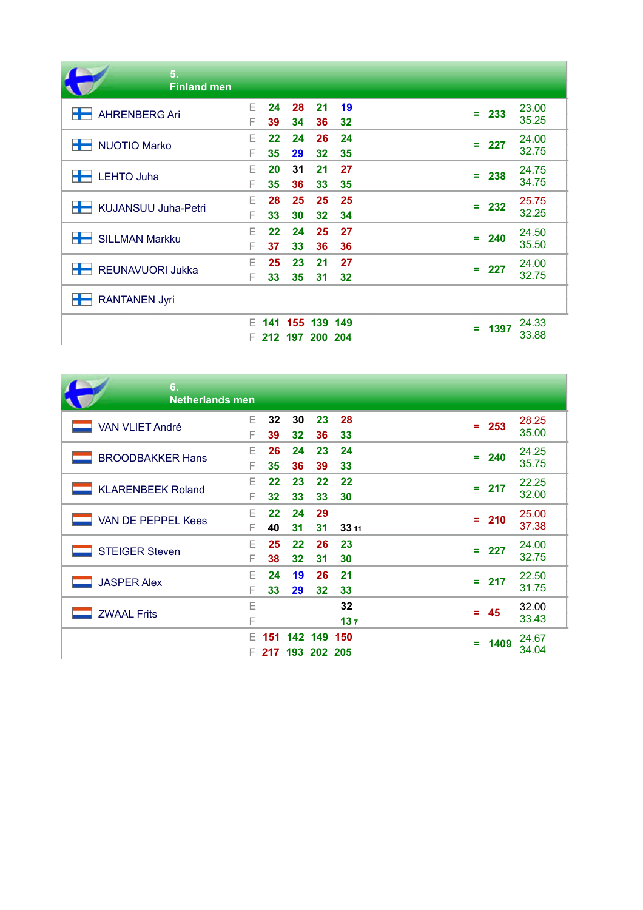| 5.<br><b>Finland men</b>        |    |                   |         |    |         |           |                                                                                                                   |
|---------------------------------|----|-------------------|---------|----|---------|-----------|-------------------------------------------------------------------------------------------------------------------|
| <b>AHRENBERG Ari</b>            | E  | 24                | 28      | 21 | 19      |           | 23.00                                                                                                             |
|                                 | F  | 39                | 34      | 36 | 32      |           | $= 233$<br>35.25<br>24.00<br>227<br>÷<br>32.75<br>24.75<br>$= 238$<br>34.75<br>25.75<br>$= 232$<br>32.25<br>24.50 |
| <b>NUOTIO Marko</b>             | F  | $22 \overline{)}$ | 24      | 26 | 24      |           |                                                                                                                   |
|                                 | F  | 35                | 29      | 32 | 35      |           |                                                                                                                   |
| <b>LEHTO Juha</b>               | Е  | 20                | 31      | 21 | 27      |           |                                                                                                                   |
|                                 | F  | 35                | 36      | 33 | 35      |           |                                                                                                                   |
| +<br><b>KUJANSUU Juha-Petri</b> | F  | 28                | 25      | 25 | 25      |           |                                                                                                                   |
|                                 | F  | 33                | 30      | 32 | 34      |           |                                                                                                                   |
| <b>SILLMAN Markku</b>           | F  | $22 \overline{)}$ | 24      | 25 | 27      | $= 240$   |                                                                                                                   |
|                                 | F  | 37                | 33      | 36 | 36      |           | 35.50                                                                                                             |
| <b>REUNAVUORI Jukka</b>         | F  | 25                | 23      | 21 | 27      | $= 227$   | 24.00                                                                                                             |
|                                 | F  | 33                | 35      | 31 | 32      |           | 32.75                                                                                                             |
| 士<br><b>RANTANEN Jyri</b>       |    |                   |         |    |         |           |                                                                                                                   |
|                                 | F. | 141               | 155     |    | 139 149 | 1397<br>÷ | 24.33                                                                                                             |
|                                 | F. |                   | 212 197 |    | 200 204 |           | 33.88                                                                                                             |

| 6.<br><b>Netherlands men</b> |         |                         |          |                        |           |   |         |                |
|------------------------------|---------|-------------------------|----------|------------------------|-----------|---|---------|----------------|
| <b>VAN VLIET André</b>       | E.<br>F | 32<br>39                | 30<br>32 | 23<br>36               | 28<br>33  |   | $= 253$ | 28.25<br>35.00 |
| <b>BROODBAKKER Hans</b>      | F<br>F  | 26<br>35                | 24<br>36 | 23<br>39               | 24<br>33  |   | $= 240$ | 24.25<br>35.75 |
| <b>KLARENBEEK Roland</b>     | F<br>F  | 22<br>32 <sub>2</sub>   | 23<br>33 | 22<br>33               | 22<br>30  |   | $= 217$ | 22.25<br>32.00 |
| <b>VAN DE PEPPEL Kees</b>    | F<br>F  | $22 \overline{)}$<br>40 | 24<br>31 | 29<br>31               | 33 11     |   | $= 210$ | 25.00<br>37.38 |
| <b>STEIGER Steven</b>        | F<br>F  | 25<br>38                | 22<br>32 | 26<br>31               | 23<br>30  | ÷ | 227     | 24.00<br>32.75 |
| <b>JASPER Alex</b>           | F<br>F  | 24<br>33                | 19<br>29 | 26<br>32               | 21<br>33  |   | $= 217$ | 22.50<br>31.75 |
| <b>ZWAAL Frits</b>           | Ε<br>F  |                         |          |                        | 32<br>137 |   | $= 45$  | 32.00<br>33.43 |
|                              | F<br>F. | 151<br>217              |          | 142 149<br>193 202 205 | 150       | ÷ | 1409    | 24.67<br>34.04 |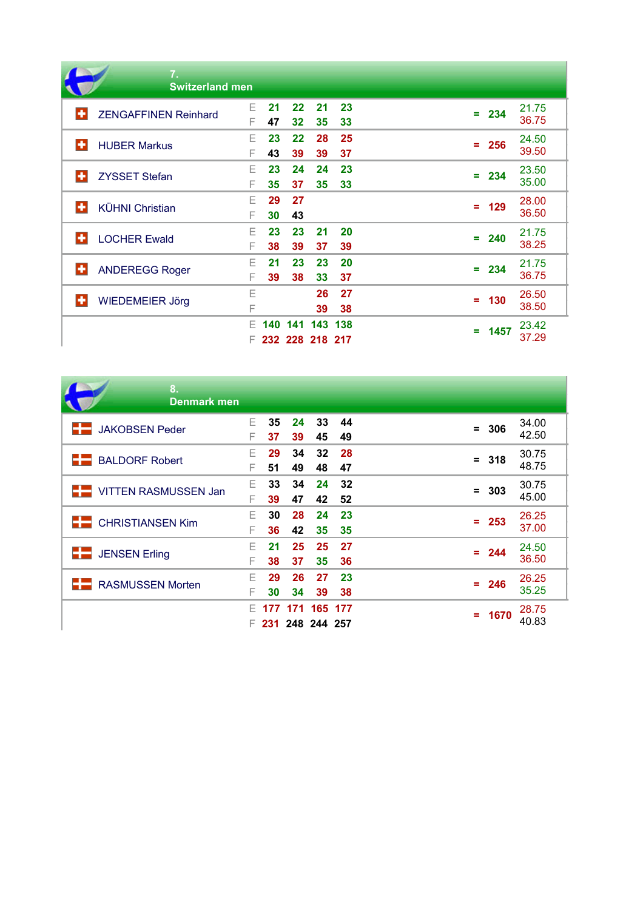|   | 7.<br><b>Switzerland men</b> |         |          |          |                        |          |         |      |                |
|---|------------------------------|---------|----------|----------|------------------------|----------|---------|------|----------------|
|   | <b>ZENGAFFINEN Reinhard</b>  | E.<br>F | 21<br>47 | 22<br>32 | 21<br>35               | 23<br>33 | $= 234$ |      | 21.75<br>36.75 |
| ÷ | <b>HUBER Markus</b>          | F<br>F  | 23<br>43 | 22<br>39 | 28<br>39               | 25<br>37 | $= 256$ |      | 24.50<br>39.50 |
|   | <b>ZYSSET Stefan</b>         | F<br>F  | 23<br>35 | 24<br>37 | 24<br>35               | 23<br>33 | $= 234$ |      | 23.50<br>35.00 |
|   | <b>KÜHNI Christian</b>       | Е<br>F  | 29<br>30 | 27<br>43 |                        |          | $=$     | 129  | 28.00<br>36.50 |
|   | <b>LOCHER Ewald</b>          | F<br>F  | 23<br>38 | 23<br>39 | 21<br>37               | 20<br>39 | ÷       | 240  | 21.75<br>38.25 |
| ÷ | <b>ANDEREGG Roger</b>        | F<br>F  | 21<br>39 | 23<br>38 | 23<br>33               | 20<br>37 | $= 234$ |      | 21.75<br>36.75 |
|   | <b>WIEDEMEIER Jörg</b>       | Ε<br>F  |          |          | 26<br>39               | 27<br>38 | $=$     | 130  | 26.50<br>38.50 |
|   |                              | F<br>F. | 140      | 141      | 143<br>232 228 218 217 | 138      | ÷       | 1457 | 23.42<br>37.29 |

| 8.<br>Denmark men               |         |           |                 |                       |          |     |         |                |
|---------------------------------|---------|-----------|-----------------|-----------------------|----------|-----|---------|----------------|
| <b>JAKOBSEN Peder</b>           | F.      | 35        | 24              | 33                    | 44       |     | $= 306$ | 34.00<br>42.50 |
| <b>BALDORF Robert</b>           | F<br>F  | 37<br>29  | 39<br>34        | 45<br>32 <sub>2</sub> | 49<br>28 |     |         | 30.75          |
|                                 | F       | 51        | 49              | 48                    | 47       |     | $= 318$ | 48.75          |
| <b>THE VITTEN RASMUSSEN Jan</b> | F.<br>F | 33<br>39  | 34<br>47        | 24<br>42              | 32<br>52 | $=$ | - 303   | 30.75<br>45.00 |
| <b>EXECUTE CHRISTIANSEN Kim</b> | F       | 30        | 28              | 24                    | 23       |     | $= 253$ | 26.25          |
|                                 | F       | 36        | 42              | 35                    | 35       |     |         | 37.00          |
| <b>JENSEN Erling</b><br>6 E     | F<br>F  | 21<br>38  | 25<br>37        | 25<br>35              | 27<br>36 | Ξ.  | 244     | 24.50<br>36.50 |
| <b>RASMUSSEN Morten</b>         | F       | 29        | 26              | 27                    | 23       |     | $= 246$ | 26.25<br>35.25 |
|                                 | F<br>F. | 30<br>177 | 34              | 39<br>171 165 177     | 38       |     |         | 28.75          |
|                                 | F.      |           | 231 248 244 257 |                       |          | Ξ.  | 1670    | 40.83          |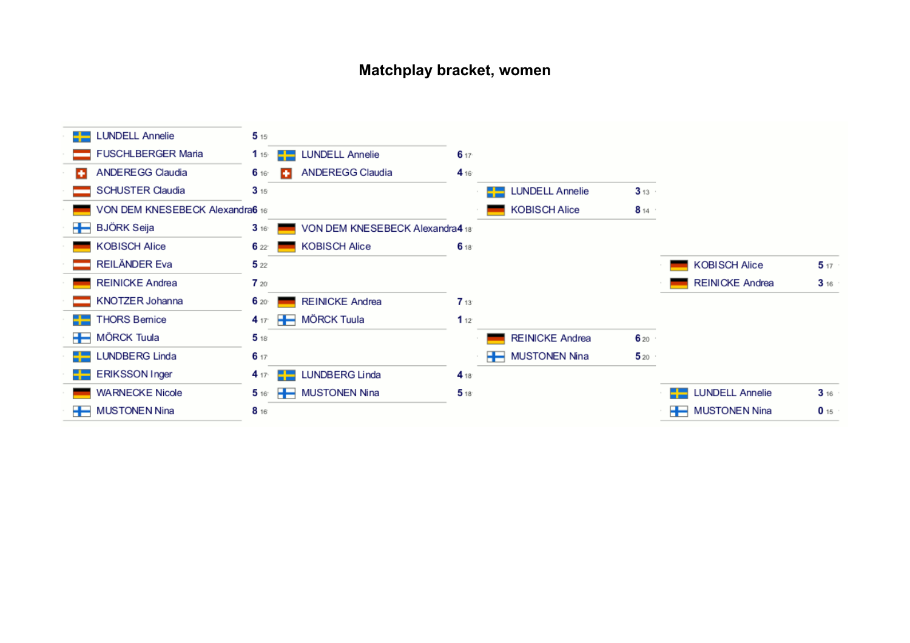### **Matchplay bracket, women**